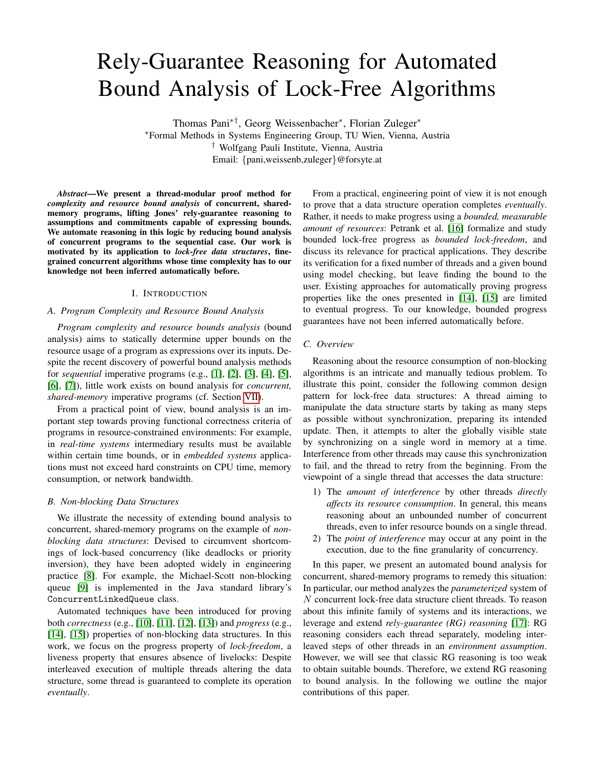# Rely-Guarantee Reasoning for Automated Bound Analysis of Lock-Free Algorithms

Thomas Pani∗†, Georg Weissenbacher<sup>∗</sup> , Florian Zuleger<sup>∗</sup> <sup>∗</sup>Formal Methods in Systems Engineering Group, TU Wien, Vienna, Austria † Wolfgang Pauli Institute, Vienna, Austria Email: {pani,weissenb,zuleger}@forsyte.at

*Abstract*—We present a thread-modular proof method for *complexity and resource bound analysis* of concurrent, sharedmemory programs, lifting Jones' rely-guarantee reasoning to assumptions and commitments capable of expressing bounds. We automate reasoning in this logic by reducing bound analysis of concurrent programs to the sequential case. Our work is motivated by its application to *lock-free data structures*, finegrained concurrent algorithms whose time complexity has to our knowledge not been inferred automatically before.

# I. INTRODUCTION

# *A. Program Complexity and Resource Bound Analysis*

*Program complexity and resource bounds analysis* (bound analysis) aims to statically determine upper bounds on the resource usage of a program as expressions over its inputs. Despite the recent discovery of powerful bound analysis methods for *sequential* imperative programs (e.g., [\[1\]](#page-8-0), [\[2\]](#page-8-1), [\[3\]](#page-8-2), [\[4\]](#page-8-3), [\[5\]](#page-8-4), [\[6\]](#page-8-5), [\[7\]](#page-8-6)), little work exists on bound analysis for *concurrent, shared-memory* imperative programs (cf. Section [VII\)](#page-7-0).

From a practical point of view, bound analysis is an important step towards proving functional correctness criteria of programs in resource-constrained environments: For example, in *real-time systems* intermediary results must be available within certain time bounds, or in *embedded systems* applications must not exceed hard constraints on CPU time, memory consumption, or network bandwidth.

## *B. Non-blocking Data Structures*

We illustrate the necessity of extending bound analysis to concurrent, shared-memory programs on the example of *nonblocking data structures*: Devised to circumvent shortcomings of lock-based concurrency (like deadlocks or priority inversion), they have been adopted widely in engineering practice [\[8\]](#page-8-7). For example, the Michael-Scott non-blocking queue [\[9\]](#page-8-8) is implemented in the Java standard library's ConcurrentLinkedQueue class.

Automated techniques have been introduced for proving both *correctness* (e.g., [\[10\]](#page-8-9), [\[11\]](#page-8-10), [\[12\]](#page-8-11), [\[13\]](#page-8-12)) and *progress* (e.g., [\[14\]](#page-8-13), [\[15\]](#page-8-14)) properties of non-blocking data structures. In this work, we focus on the progress property of *lock-freedom*, a liveness property that ensures absence of livelocks: Despite interleaved execution of multiple threads altering the data structure, some thread is guaranteed to complete its operation *eventually*.

From a practical, engineering point of view it is not enough to prove that a data structure operation completes *eventually*. Rather, it needs to make progress using a *bounded, measurable amount of resources*: Petrank et al. [\[16\]](#page-8-15) formalize and study bounded lock-free progress as *bounded lock-freedom*, and discuss its relevance for practical applications. They describe its verification for a fixed number of threads and a given bound using model checking, but leave finding the bound to the user. Existing approaches for automatically proving progress properties like the ones presented in [\[14\]](#page-8-13), [\[15\]](#page-8-14) are limited to eventual progress. To our knowledge, bounded progress guarantees have not been inferred automatically before.

## *C. Overview*

Reasoning about the resource consumption of non-blocking algorithms is an intricate and manually tedious problem. To illustrate this point, consider the following common design pattern for lock-free data structures: A thread aiming to manipulate the data structure starts by taking as many steps as possible without synchronization, preparing its intended update. Then, it attempts to alter the globally visible state by synchronizing on a single word in memory at a time. Interference from other threads may cause this synchronization to fail, and the thread to retry from the beginning. From the viewpoint of a single thread that accesses the data structure:

- 1) The *amount of interference* by other threads *directly affects its resource consumption*. In general, this means reasoning about an unbounded number of concurrent threads, even to infer resource bounds on a single thread.
- 2) The *point of interference* may occur at any point in the execution, due to the fine granularity of concurrency.

In this paper, we present an automated bound analysis for concurrent, shared-memory programs to remedy this situation: In particular, our method analyzes the *parameterized* system of N concurrent lock-free data structure client threads. To reason about this infinite family of systems and its interactions, we leverage and extend *rely-guarantee (RG) reasoning* [\[17\]](#page-8-16): RG reasoning considers each thread separately, modeling interleaved steps of other threads in an *environment assumption*. However, we will see that classic RG reasoning is too weak to obtain suitable bounds. Therefore, we extend RG reasoning to bound analysis. In the following we outline the major contributions of this paper.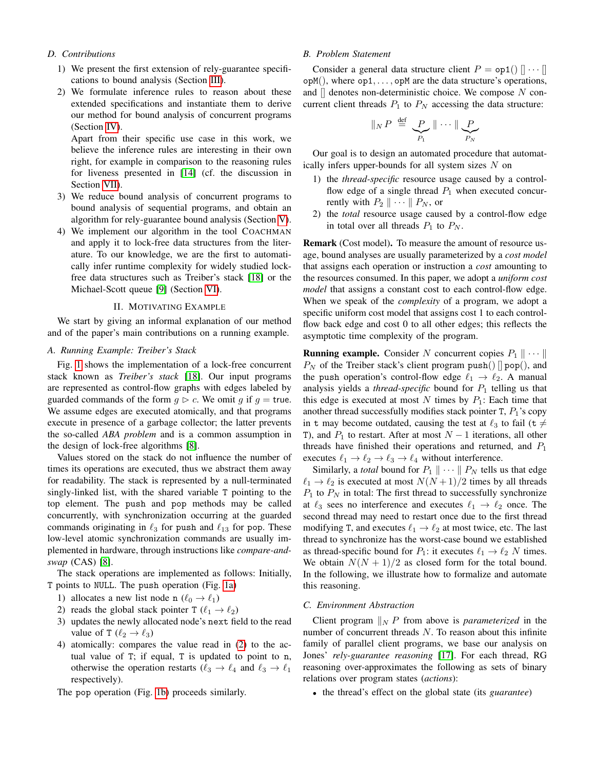# *D. Contributions*

- 1) We present the first extension of rely-guarantee specifications to bound analysis (Section [III\)](#page-3-0).
- 2) We formulate inference rules to reason about these extended specifications and instantiate them to derive our method for bound analysis of concurrent programs (Section [IV\)](#page-4-0).

Apart from their specific use case in this work, we believe the inference rules are interesting in their own right, for example in comparison to the reasoning rules for liveness presented in [\[14\]](#page-8-13) (cf. the discussion in Section [VII\)](#page-7-0).

- 3) We reduce bound analysis of concurrent programs to bound analysis of sequential programs, and obtain an algorithm for rely-guarantee bound analysis (Section [V\)](#page-6-0).
- 4) We implement our algorithm in the tool COACHMAN and apply it to lock-free data structures from the literature. To our knowledge, we are the first to automatically infer runtime complexity for widely studied lockfree data structures such as Treiber's stack [\[18\]](#page-8-17) or the Michael-Scott queue [\[9\]](#page-8-8) (Section [VI\)](#page-7-1).

### II. MOTIVATING EXAMPLE

<span id="page-1-2"></span>We start by giving an informal explanation of our method and of the paper's main contributions on a running example.

## *A. Running Example: Treiber's Stack*

Fig. [1](#page-2-0) shows the implementation of a lock-free concurrent stack known as *Treiber's stack* [\[18\]](#page-8-17). Our input programs are represented as control-flow graphs with edges labeled by guarded commands of the form  $q \triangleright c$ . We omit q if  $q =$  true. We assume edges are executed atomically, and that programs execute in presence of a garbage collector; the latter prevents the so-called *ABA problem* and is a common assumption in the design of lock-free algorithms [\[8\]](#page-8-7).

Values stored on the stack do not influence the number of times its operations are executed, thus we abstract them away for readability. The stack is represented by a null-terminated singly-linked list, with the shared variable T pointing to the top element. The push and pop methods may be called concurrently, with synchronization occurring at the guarded commands originating in  $\ell_3$  for push and  $\ell_{13}$  for pop. These low-level atomic synchronization commands are usually implemented in hardware, through instructions like *compare-andswap* (CAS) [\[8\]](#page-8-7).

The stack operations are implemented as follows: Initially, T points to NULL. The push operation (Fig. [1a\)](#page-2-1)

- 1) allocates a new list node n  $(\ell_0 \rightarrow \ell_1)$
- <span id="page-1-0"></span>2) reads the global stack pointer T  $(\ell_1 \rightarrow \ell_2)$
- 3) updates the newly allocated node's next field to the read value of T  $(\ell_2 \rightarrow \ell_3)$
- 4) atomically: compares the value read in [\(2\)](#page-1-0) to the actual value of T; if equal, T is updated to point to n, otherwise the operation restarts ( $\ell_3 \rightarrow \ell_4$  and  $\ell_3 \rightarrow \ell_1$ respectively).

The pop operation (Fig. [1b\)](#page-2-2) proceeds similarly.

# <span id="page-1-1"></span>*B. Problem Statement*

Consider a general data structure client  $P = op1()$   $\|\cdots\|$  $opM()$ , where  $op1, \ldots, opM$  are the data structure's operations, and  $\parallel$  denotes non-deterministic choice. We compose N concurrent client threads  $P_1$  to  $P_N$  accessing the data structure:

$$
\|_{N} P \stackrel{\text{def}}{=} \underbrace{P}{P_1} \|\cdots \|\underbrace{P}{P_N}
$$

Our goal is to design an automated procedure that automatically infers upper-bounds for all system sizes  $N$  on

- 1) the *thread-specific* resource usage caused by a controlflow edge of a single thread  $P_1$  when executed concurrently with  $P_2 \parallel \cdots \parallel P_N$ , or
- 2) the *total* resource usage caused by a control-flow edge in total over all threads  $P_1$  to  $P_N$ .

Remark (Cost model). To measure the amount of resource usage, bound analyses are usually parameterized by a *cost model* that assigns each operation or instruction a *cost* amounting to the resources consumed. In this paper, we adopt a *uniform cost model* that assigns a constant cost to each control-flow edge. When we speak of the *complexity* of a program, we adopt a specific uniform cost model that assigns cost 1 to each controlflow back edge and cost 0 to all other edges; this reflects the asymptotic time complexity of the program.

**Running example.** Consider N concurrent copies  $P_1 \parallel \cdots \parallel$  $P_N$  of the Treiber stack's client program push()  $\parallel$  pop(), and the push operation's control-flow edge  $\ell_1 \rightarrow \ell_2$ . A manual analysis yields a *thread-specific* bound for  $P_1$  telling us that this edge is executed at most N times by  $P_1$ : Each time that another thread successfully modifies stack pointer  $T$ ,  $P_1$ 's copy in t may become outdated, causing the test at  $\ell_3$  to fail (t  $\neq$ T), and  $P_1$  to restart. After at most  $N-1$  iterations, all other threads have finished their operations and returned, and  $P_1$ executes  $\ell_1 \rightarrow \ell_2 \rightarrow \ell_3 \rightarrow \ell_4$  without interference.

Similarly, a *total* bound for  $P_1 \parallel \cdots \parallel P_N$  tells us that edge  $\ell_1 \rightarrow \ell_2$  is executed at most  $N(N + 1)/2$  times by all threads  $P_1$  to  $P_N$  in total: The first thread to successfully synchronize at  $\ell_3$  sees no interference and executes  $\ell_1 \rightarrow \ell_2$  once. The second thread may need to restart once due to the first thread modifying T, and executes  $\ell_1 \rightarrow \ell_2$  at most twice, etc. The last thread to synchronize has the worst-case bound we established as thread-specific bound for  $P_1$ : it executes  $\ell_1 \rightarrow \ell_2 N$  times. We obtain  $N(N + 1)/2$  as closed form for the total bound. In the following, we illustrate how to formalize and automate this reasoning.

#### *C. Environment Abstraction*

Client program  $\parallel_N P$  from above is *parameterized* in the number of concurrent threads N. To reason about this infinite family of parallel client programs, we base our analysis on Jones' *rely-guarantee reasoning* [\[17\]](#page-8-16). For each thread, RG reasoning over-approximates the following as sets of binary relations over program states (*actions*):

• the thread's effect on the global state (its *guarantee*)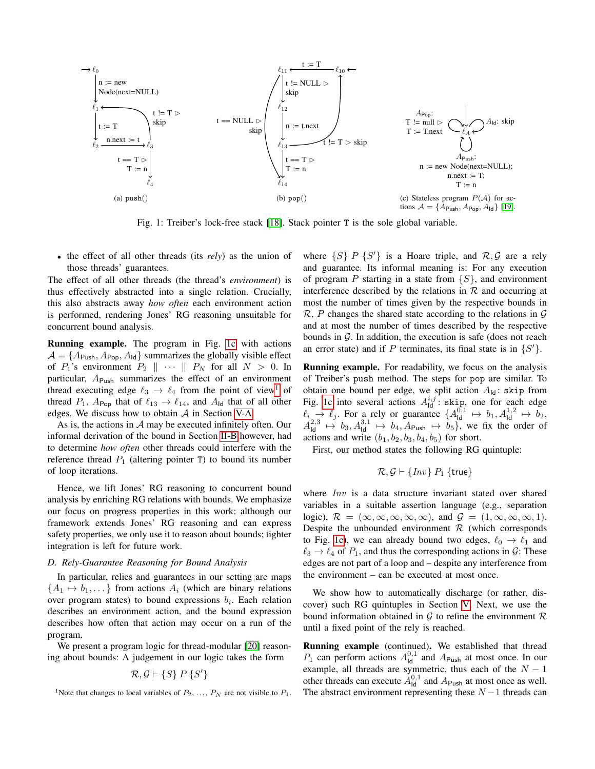<span id="page-2-1"></span><span id="page-2-0"></span>

<span id="page-2-2"></span>Fig. 1: Treiber's lock-free stack [\[18\]](#page-8-17). Stack pointer T is the sole global variable.

• the effect of all other threads (its *rely*) as the union of those threads' guarantees.

The effect of all other threads (the thread's *environment*) is thus effectively abstracted into a single relation. Crucially, this also abstracts away *how often* each environment action is performed, rendering Jones' RG reasoning unsuitable for concurrent bound analysis.

Running example. The program in Fig. [1c](#page-2-3) with actions  $A = \{A_{\text{Push}}, A_{\text{Pop}}, A_{\text{Id}}\}$  summarizes the globally visible effect of  $P_1$ 's environment  $P_2 \parallel \cdots \parallel P_N$  for all  $N > 0$ . In particular,  $A_{\text{Push}}$  summarizes the effect of an environment thread executing edge  $\ell_3 \rightarrow \ell_4$  from the point of view<sup>[1](#page-2-4)</sup> of thread  $P_1$ ,  $A_{\text{Pop}}$  that of  $\ell_{13} \rightarrow \ell_{14}$ , and  $A_{\text{Id}}$  that of all other edges. We discuss how to obtain  $A$  in Section [V-A.](#page-6-1)

As is, the actions in  $A$  may be executed infinitely often. Our informal derivation of the bound in Section [II-B](#page-1-1) however, had to determine *how often* other threads could interfere with the reference thread  $P_1$  (altering pointer T) to bound its number of loop iterations.

Hence, we lift Jones' RG reasoning to concurrent bound analysis by enriching RG relations with bounds. We emphasize our focus on progress properties in this work: although our framework extends Jones' RG reasoning and can express safety properties, we only use it to reason about bounds; tighter integration is left for future work.

#### <span id="page-2-5"></span>*D. Rely-Guarantee Reasoning for Bound Analysis*

In particular, relies and guarantees in our setting are maps  ${A_1 \mapsto b_1, \ldots}$  from actions  $A_i$  (which are binary relations over program states) to bound expressions  $b_i$ . Each relation describes an environment action, and the bound expression describes how often that action may occur on a run of the program.

We present a program logic for thread-modular [\[20\]](#page-8-19) reasoning about bounds: A judgement in our logic takes the form

$$
\mathcal{R}, \mathcal{G} \vdash \{S\} \, P \, \{S'\}
$$

<span id="page-2-4"></span><sup>1</sup>Note that changes to local variables of  $P_2, \ldots, P_N$  are not visible to  $P_1$ .

<span id="page-2-3"></span>where  $\{S\}$  P  $\{S'\}$  is a Hoare triple, and  $\mathcal{R}, \mathcal{G}$  are a rely and guarantee. Its informal meaning is: For any execution of program P starting in a state from  $\{S\}$ , and environment interference described by the relations in  $R$  and occurring at most the number of times given by the respective bounds in  $\mathcal{R}, P$  changes the shared state according to the relations in  $\mathcal{G}$ and at most the number of times described by the respective bounds in  $G$ . In addition, the execution is safe (does not reach an error state) and if P terminates, its final state is in  $\{S'\}.$ 

Running example. For readability, we focus on the analysis of Treiber's push method. The steps for pop are similar. To obtain one bound per edge, we split action  $A_{\text{Id}}$ : skip from Fig. [1c](#page-2-3) into several actions  $A_{\text{ld}}^{i,j}$ : skip, one for each edge  $\ell_i \rightarrow \ell_j$ . For a rely or guarantee  $\{A_{\text{Id}}^{0,1} \mapsto b_1, A_{\text{Id}}^{1,2} \mapsto b_2,$  $A_{\text{Id}}^{2,3} \rightarrow b_3$ ,  $A_{\text{Id}}^{3,1} \rightarrow b_4$ ,  $A_{\text{Push}} \rightarrow b_5$ , we fix the order of actions and write  $(b_1, b_2, b_3, b_4, b_5)$  for short.

First, our method states the following RG quintuple:

$$
\mathcal{R}, \mathcal{G} \vdash \{Inv\} \, P_1 \, \{\mathsf{true}\}
$$

where *Inv* is a data structure invariant stated over shared variables in a suitable assertion language (e.g., separation logic),  $\mathcal{R} = (\infty, \infty, \infty, \infty, \infty)$ , and  $\mathcal{G} = (1, \infty, \infty, \infty, 1)$ . Despite the unbounded environment  $R$  (which corresponds to Fig. [1c\)](#page-2-3), we can already bound two edges,  $\ell_0 \rightarrow \ell_1$  and  $\ell_3 \rightarrow \ell_4$  of  $P_1$ , and thus the corresponding actions in  $\mathcal{G}$ : These edges are not part of a loop and – despite any interference from the environment – can be executed at most once.

We show how to automatically discharge (or rather, discover) such RG quintuples in Section [V.](#page-6-0) Next, we use the bound information obtained in  $G$  to refine the environment  $R$ until a fixed point of the rely is reached.

Running example (continued). We established that thread  $P_1$  can perform actions  $A_{\text{ld}}^{0,1}$  and  $A_{\text{Push}}$  at most once. In our example, all threads are symmetric, thus each of the  $N - 1$ other threads can execute  $A_{\text{ld}}^{0,1}$  and  $A_{\text{Push}}$  at most once as well. The abstract environment representing these  $N-1$  threads can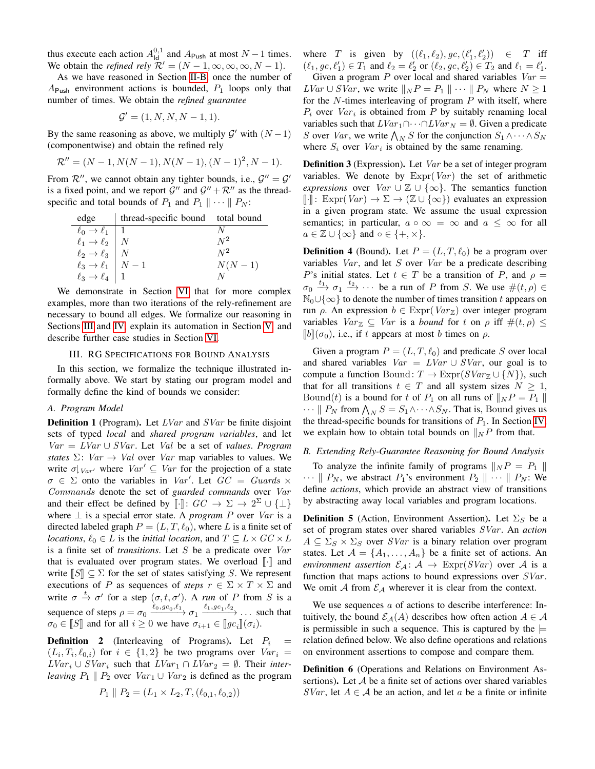thus execute each action  $A_{\text{Id}}^{0,1}$  and  $A_{\text{Push}}$  at most  $N-1$  times. We obtain the *refined rely*  $\mathcal{R}' = (N - 1, \infty, \infty, \infty, N - 1)$ .

As we have reasoned in Section [II-B,](#page-1-1) once the number of  $A_{\text{Push}}$  environment actions is bounded,  $P_1$  loops only that number of times. We obtain the *refined guarantee*

$$
\mathcal{G}' = (1, N, N, N - 1, 1).
$$

By the same reasoning as above, we multiply  $\mathcal{G}'$  with  $(N-1)$ (componentwise) and obtain the refined rely

$$
\mathcal{R}'' = (N-1, N(N-1), N(N-1), (N-1)^2, N-1).
$$

From  $\mathcal{R}''$ , we cannot obtain any tighter bounds, i.e.,  $\mathcal{G}'' = \mathcal{G}'$ is a fixed point, and we report  $\mathcal{G}''$  and  $\mathcal{G}'' + \mathcal{R}''$  as the threadspecific and total bounds of  $P_1$  and  $P_1 \parallel \cdots \parallel P_N$ :

| edge                                                                                                                                                                                                                    | thread-specific bound total bound |          |
|-------------------------------------------------------------------------------------------------------------------------------------------------------------------------------------------------------------------------|-----------------------------------|----------|
|                                                                                                                                                                                                                         |                                   |          |
|                                                                                                                                                                                                                         |                                   | $N^2$    |
|                                                                                                                                                                                                                         |                                   | $N^2$    |
|                                                                                                                                                                                                                         |                                   | $N(N-1)$ |
| $\begin{array}{l l l} \hline \ell_0 \rightarrow \ell_1 & 1 \\ \ell_1 \rightarrow \ell_2 & N \\ \ell_2 \rightarrow \ell_3 & N \\ \ell_3 \rightarrow \ell_1 & N-1 \\ \ell_3 \rightarrow \ell_4 & 1 \\ \hline \end{array}$ |                                   |          |

We demonstrate in Section [VI](#page-7-1) that for more complex examples, more than two iterations of the rely-refinement are necessary to bound all edges. We formalize our reasoning in Sections [III](#page-3-0) and [IV,](#page-4-0) explain its automation in Section [V,](#page-6-0) and describe further case studies in Section [VI.](#page-7-1)

### III. RG SPECIFICATIONS FOR BOUND ANALYSIS

<span id="page-3-0"></span>In this section, we formalize the technique illustrated informally above. We start by stating our program model and formally define the kind of bounds we consider:

### *A. Program Model*

**Definition 1** (Program). Let  $LVar$  and  $SVar$  be finite disjoint sets of typed *local* and *shared program variables*, and let Var = LVar ∪ SVar . Let Val be a set of *values*. *Program states*  $\Sigma$ : *Var*  $\rightarrow$  *Val* over *Var* map variables to values. We write  $\sigma|_{Var'}$  where  $Var' \subseteq Var$  for the projection of a state  $\sigma \in \Sigma$  onto the variables in Var'. Let  $GC = \text{G}uards \times$ Commands denote the set of *guarded commands* over Var and their effect be defined by  $[[\cdot]]: GC \to \Sigma \to 2^{\Sigma} \cup {\{\perp\}}$ <br>where  $\perp$  is a special error state. A program  $B$  over  $Var$  is a where ⊥ is a special error state. A *program* P over Var is a directed labeled graph  $P = (L, T, \ell_0)$ , where L is a finite set of *locations*,  $\ell_0 \in L$  is the *initial location*, and  $T \subseteq L \times GC \times L$ is a finite set of *transitions*. Let S be a predicate over Var that is evaluated over program states. We overload  $\lbrack \cdot \rbrack$  and write  $\|S\| \subseteq \Sigma$  for the set of states satisfying S. We represent executions of P as sequences of *steps*  $r \in \Sigma \times T \times \Sigma$  and write  $\sigma \stackrel{t}{\rightarrow} \sigma'$  for a step  $(\sigma, t, \sigma')$ . A *run* of P from S is a sequence of steps  $\rho = \sigma_0 \xrightarrow{\ell_0, gc_0, \ell_1} \sigma_1 \xrightarrow{\ell_1, gc_1, \ell_2} \dots$  such that  $\sigma_0 \in \llbracket S \rrbracket$  and for all  $i \geq 0$  we have  $\sigma_{i+1} \in \llbracket g c_i \rrbracket(\sigma_i)$ .

**Definition 2** (Interleaving of Programs). Let  $P_i$  $(L_i, T_i, \ell_{0,i})$  for  $i \in \{1,2\}$  be two programs over  $Var_i =$  $LVar_i$  ∪  $SVar_i$  such that  $LVar_1 \cap LVar_2 = \emptyset$ . Their *interleaving*  $P_1 \parallel P_2$  over  $Var_1 \cup Var_2$  is defined as the program

$$
P_1 \parallel P_2 = (L_1 \times L_2, T, (\ell_{0,1}, \ell_{0,2}))
$$

where T is given by  $((\ell_1, \ell_2), gc, (\ell'_1, \ell'_2)) \in T$  iff  $(\ell_1, gc, \ell'_1) \in T_1$  and  $\ell_2 = \ell'_2$  or  $(\ell_2, gc, \ell'_2) \in T_2$  and  $\ell_1 = \ell'_1$ . Given a program P over local and shared variables  $Var =$  $LVar \cup SVar$ , we write  $||_NP = P_1 || \cdots || P_N$  where  $N \ge 1$ for the  $N$ -times interleaving of program  $P$  with itself, where  $P_i$  over  $Var_i$  is obtained from P by suitably renaming local variables such that  $LVar_1 \cap \cdots \cap LVar_N = \emptyset$ . Given a predicate S over Var, we write  $\bigwedge_N S$  for the conjunction  $S_1 \wedge \cdots \wedge S_N$ where  $S_i$  over  $Var_i$  is obtained by the same renaming.

Definition 3 (Expression). Let Var be a set of integer program variables. We denote by  $\text{Expr}(Var)$  the set of arithmetic *expressions* over  $Var \cup \mathbb{Z} \cup \{\infty\}$ . The semantics function  $\llbracket \cdot \rrbracket$ : Expr $(Var) \to \Sigma \to (\mathbb{Z} \cup \{\infty\})$  evaluates an expression in a given program state. We assume the usual expression semantics; in particular,  $a \circ \infty = \infty$  and  $a \leq \infty$  for all  $a \in \mathbb{Z} \cup \{\infty\}$  and  $\circ \in \{+, \times\}.$ 

**Definition 4** (Bound). Let  $P = (L, T, \ell_0)$  be a program over variables  $Var$ , and let S over  $Var$  be a predicate describing P's initial states. Let  $t \in T$  be a transition of P, and  $\rho =$  $\sigma_0 \stackrel{t_1}{\longrightarrow} \sigma_1 \stackrel{t_2}{\longrightarrow} \cdots$  be a run of P from S. We use  $\#(t,\rho) \in$  $\mathbb{N}_0 \cup \{\infty\}$  to denote the number of times transition t appears on run ρ. An expression  $b \in \text{Expr}(Var_{\mathbb{Z}})$  over integer program variables  $Var_{\mathbb{Z}} \subseteq Var$  is a *bound* for t on  $\rho$  iff  $\#(t, \rho) \leq$  $[[b]](\sigma_0)$ , i.e., if t appears at most b times on  $\rho$ .

Given a program  $P = (L, T, \ell_0)$  and predicate S over local and shared variables  $Var = LVar \cup SVar$ , our goal is to compute a function Bound:  $T \to \text{Expr}(SVar_{\mathbb{Z}} \cup \{N\})$ , such that for all transitions  $t \in T$  and all system sizes  $N \geq 1$ , Bound(t) is a bound for t of  $P_1$  on all runs of  $||_NP = P_1 ||$  $\cdots || P_N$  from  $\bigwedge_N S = S_1 \wedge \cdots \wedge S_N$ . That is, Bound gives us the thread-specific bounds for transitions of  $P_1$ . In Section [IV,](#page-4-0) we explain how to obtain total bounds on  $\|_N P$  from that.

#### *B. Extending Rely-Guarantee Reasoning for Bound Analysis*

To analyze the infinite family of programs  $\|_N P = P_1 \|$  $\cdots \parallel P_N$ , we abstract  $P_1$ 's environment  $P_2 \parallel \cdots \parallel P_N$ : We define *actions*, which provide an abstract view of transitions by abstracting away local variables and program locations.

**Definition 5** (Action, Environment Assertion). Let  $\Sigma_S$  be a set of program states over shared variables SVar . An *action*  $A \subseteq \Sigma_S \times \Sigma_S$  over *SVar* is a binary relation over program states. Let  $A = \{A_1, \ldots, A_n\}$  be a finite set of actions. An *environment assertion*  $\mathcal{E}_A$ :  $A \rightarrow \text{Exp}(SVar)$  over A is a function that maps actions to bound expressions over  $SVar$ . We omit A from  $\mathcal{E}_A$  wherever it is clear from the context.

We use sequences a of actions to describe interference: Intuitively, the bound  $\mathcal{E}_{\mathcal{A}}(A)$  describes how often action  $A \in \mathcal{A}$ is permissible in such a sequence. This is captured by the  $\models$ relation defined below. We also define operations and relations on environment assertions to compose and compare them.

Definition 6 (Operations and Relations on Environment Assertions). Let  $A$  be a finite set of actions over shared variables SVar, let  $A \in \mathcal{A}$  be an action, and let a be a finite or infinite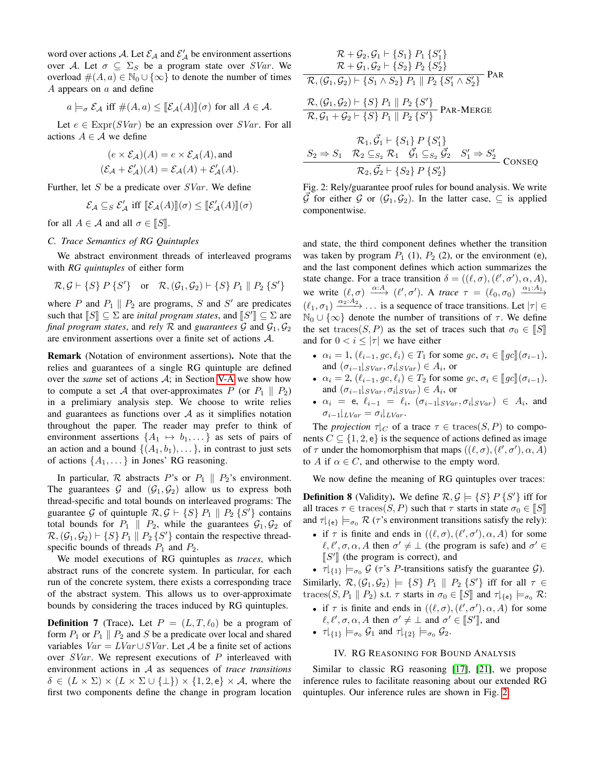word over actions A. Let  $\mathcal{E}_A$  and  $\mathcal{E}'_A$  be environment assertions over A. Let  $\sigma \subseteq \Sigma_S$  be a program state over SVar. We overload  $\#(A, a) \in \mathbb{N}_0 \cup \{\infty\}$  to denote the number of times  $A$  appears on  $a$  and define

$$
a \models_{\sigma} \mathcal{E}_{\mathcal{A}}
$$
 iff  $\#(A, a) \leq [\![\mathcal{E}_{\mathcal{A}}(A)]\!](\sigma)$  for all  $A \in \mathcal{A}$ .

Let  $e \in \text{Expr}(SVar)$  be an expression over  $SVar$ . For all actions  $A \in \mathcal{A}$  we define

$$
(e \times \mathcal{E}_{\mathcal{A}})(A) = e \times \mathcal{E}_{\mathcal{A}}(A), \text{and}
$$
  

$$
(\mathcal{E}_{\mathcal{A}} + \mathcal{E}'_{\mathcal{A}})(A) = \mathcal{E}_{\mathcal{A}}(A) + \mathcal{E}'_{\mathcal{A}}(A).
$$

Further, let S be a predicate over  $SVar$ . We define

$$
\mathcal{E}_{\mathcal{A}} \subseteq_{S} \mathcal{E}'_{\mathcal{A}} \text{ iff } [\![\mathcal{E}_{\mathcal{A}}(A)]\!](\sigma) \leq [\![\mathcal{E}'_{\mathcal{A}}(A)]\!](\sigma)
$$

for all  $A \in \mathcal{A}$  and all  $\sigma \in [S]$ .

# *C. Trace Semantics of RG Quintuples*

We abstract environment threads of interleaved programs with *RG quintuples* of either form

$$
\mathcal{R}, \mathcal{G} \vdash \{S\} \, P \{S'\} \quad \text{or} \quad \mathcal{R}, (\mathcal{G}_1, \mathcal{G}_2) \vdash \{S\} \, P_1 \parallel P_2 \{S'\}
$$

where P and  $P_1 \parallel P_2$  are programs, S and S' are predicates such that  $[[S]] \subseteq \Sigma$  are *inital program states*, and  $[[S]] \subseteq \Sigma$  are<br>final program states, and raly  $\mathcal{R}$  and quarantees  $G$  and  $G$ .  $G_2$ *final program states, and rely*  $\mathcal{R}$  and *guarantees*  $\mathcal{G}$  and  $\mathcal{G}_1$ ,  $\mathcal{G}_2$ are environment assertions over a finite set of actions A.

Remark (Notation of environment assertions). Note that the relies and guarantees of a single RG quintuple are defined over the *same* set of actions A; in Section [V-A](#page-6-1) we show how to compute a set A that over-approximates P (or  $P_1 \parallel P_2$ ) in a prelimiary analysis step. We choose to write relies and guarantees as functions over  $A$  as it simplifies notation throughout the paper. The reader may prefer to think of environment assertions  $\{A_1 \mapsto b_1, \dots\}$  as sets of pairs of an action and a bound  $\{(A_1,b_1),\ldots\}$ , in contrast to just sets of actions  $\{A_1, \ldots\}$  in Jones' RG reasoning.

In particular,  $R$  abstracts P's or  $P_1 \parallel P_2$ 's environment. The guarantees G and  $(\mathcal{G}_1, \mathcal{G}_2)$  allow us to express both thread-specific and total bounds on interleaved programs: The guarantee G of quintuple  $\mathcal{R}, \mathcal{G} \vdash \{S\} P_1 \parallel P_2 \{S'\}$  contains total bounds for  $P_1 \parallel P_2$ , while the guarantees  $G_1, G_2$  of  $\mathcal{R}, (\mathcal{G}_1, \mathcal{G}_2) \vdash \{S\} P_1 \parallel P_2 \{S'\}\)$  contain the respective threadspecific bounds of threads  $P_1$  and  $P_2$ .

We model executions of RG quintuples as *traces*, which abstract runs of the concrete system. In particular, for each run of the concrete system, there exists a corresponding trace of the abstract system. This allows us to over-approximate bounds by considering the traces induced by RG quintuples.

<span id="page-4-2"></span>**Definition 7** (Trace). Let  $P = (L, T, \ell_0)$  be a program of form  $P_1$  or  $P_1 \parallel P_2$  and S be a predicate over local and shared variables  $Var = LVar \cup SVar$ . Let A be a finite set of actions over  $SVar$ . We represent executions of P interleaved with environment actions in A as sequences of *trace transitions*  $\delta \in (L \times \Sigma) \times (L \times \Sigma \cup \{\perp\}) \times \{1, 2, e\} \times \mathcal{A}$ , where the first two components define the change in program location

<span id="page-4-1"></span>
$$
\mathcal{R} + \mathcal{G}_2, \mathcal{G}_1 \vdash \{S_1\} \ P_1 \{S'_1\} \mathcal{R} + \mathcal{G}_1, \mathcal{G}_2 \vdash \{S_2\} \ P_2 \{S'_2\} \mathcal{R}, (\mathcal{G}_1, \mathcal{G}_2) \vdash \{S_1 \land S_2\} \ P_1 \parallel P_2 \{S'_1 \land S'_2\} \mathcal{R}, (\mathcal{G}_1, \mathcal{G}_2) \vdash \{S\} \ P_1 \parallel P_2 \{S'\} \mathcal{R}, \mathcal{G}_1 + \mathcal{G}_2 \vdash \{S\} \ P_1 \parallel P_2 \{S'\} \mathcal{R}, \mathcal{G}_1 + \mathcal{G}_2 \vdash \{S\} \ P_1 \parallel P_2 \{S'\} \mathcal{R}_1, \vec{\mathcal{G}}_1 \vdash \{S_1\} \ P \{S'_1\}
$$

$$
S_2 \Rightarrow S_1 \quad \mathcal{R}_2 \subseteq_{S_2} \mathcal{R}_1 \quad \vec{\mathcal{G}}_1 \subseteq_{S_2} \vec{\mathcal{G}}_2 \quad S_1' \Rightarrow S_2'
$$
  

$$
\mathcal{R}_2, \vec{\mathcal{G}}_2 \vdash \{S_2\} \quad S_2' \}
$$

Fig. 2: Rely/guarantee proof rules for bound analysis. We write  $\vec{\mathcal{G}}$  for either  $\mathcal{G}$  or  $(\mathcal{G}_1, \mathcal{G}_2)$ . In the latter case,  $\subseteq$  is applied componentwise.

and state, the third component defines whether the transition was taken by program  $P_1$  (1),  $P_2$  (2), or the environment (e), and the last component defines which action summarizes the state change. For a trace transition  $\delta = ((\ell, \sigma), (\ell', \sigma'), \alpha, A)$ , we write  $(\ell, \sigma) \xrightarrow{\alpha:A} (\ell', \sigma')$ . A *trace*  $\tau = (\ell_0, \sigma_0) \xrightarrow{\alpha_1:A_1}$  $(\ell_1, \sigma_1) \xrightarrow{\alpha_2:A_2} \dots$  is a sequence of trace transitions. Let  $|\tau| \in$  $\mathbb{N}_0 \cup \{\infty\}$  denote the number of transitions of  $\tau$ . We define the set traces(S, P) as the set of traces such that  $\sigma_0 \in \llbracket S \rrbracket$ and for  $0 < i \leq |\tau|$  we have either

- $\alpha_i = 1$ ,  $(\ell_{i-1}, qc, \ell_i) \in T_1$  for some  $qc, \sigma_i \in [qc](\sigma_{i-1}),$ and  $(\sigma_{i-1}|_{SVar}, \sigma_i|_{SVar}) \in A_i$ , or
- $\alpha_i = 2$ ,  $(\ell_{i-1}, gc, \ell_i) \in T_2$  for some  $gc, \sigma_i \in [gc](\sigma_{i-1}),$ and  $(\sigma_{i-1}|_{SVar}, \sigma_i|_{SVar}) \in A_i$ , or
- $\alpha_i = e, \ell_{i-1} = \ell_i, (\sigma_{i-1}|_{SVar}, \sigma_i|_{SVar}) \in A_i$ , and  $\sigma_{i-1}|_{LVar} = \sigma_i|_{LVar}.$

The *projection*  $\tau|_C$  of a trace  $\tau \in \text{traces}(S, P)$  to components  $C \subseteq \{1, 2, e\}$  is the sequence of actions defined as image of  $\tau$  under the homomorphism that maps  $((\ell, \sigma), (\ell', \sigma'), \alpha, A)$ to A if  $\alpha \in C$ , and otherwise to the empty word.

We now define the meaning of RG quintuples over traces:

**Definition 8** (Validity). We define  $\mathcal{R}, \mathcal{G} \models \{S\} \, P \, \{S'\}$  iff for all traces  $\tau \in \text{traces}(S, P)$  such that  $\tau$  starts in state  $\sigma_0 \in \llbracket S \rrbracket$ and  $\tau|_{\{\mathsf{e}\}} \models_{\sigma_0} \mathcal{R}$  ( $\tau$ 's environment transitions satisfy the rely):

- if  $\tau$  is finite and ends in  $((\ell, \sigma), (\ell', \sigma'), \alpha, A)$  for some  $\ell, \ell', \sigma, \alpha, A$  then  $\sigma' \neq \bot$  (the program is safe) and  $\sigma' \in$ [S'] (the program is correct), and<br> $\pi(x) \models G$  ( $\pi$ 's *P* transitions set
- $\tau|_{\{1\}} \models_{\sigma_0} \mathcal{G}$  ( $\tau$ 's *P*-transitions satisfy the guarantee  $\mathcal{G}$ ).

Similarly,  $\mathcal{R},(\mathcal{G}_1,\mathcal{G}_2) \models \{S\} P_1 \parallel P_2 \{S'\}$  iff for all  $\tau \in$ traces(S,  $P_1 \parallel P_2$ ) s.t.  $\tau$  starts in  $\sigma_0 \in [S]$  and  $\tau|_{\{\mathsf{e}\}} \models_{\sigma_0} \mathcal{R}$ :

• if  $\tau$  is finite and ends in  $((\ell, \sigma), (\ell', \sigma'), \alpha, A)$  for some  $\ell, \ell', \sigma, \alpha, A$  then  $\sigma' \neq \bot$  and  $\sigma' \in [S']$ , and

• 
$$
\tau|_{\{1\}} \models_{\sigma_0} \mathcal{G}_1
$$
 and  $\tau|_{\{2\}} \models_{\sigma_0} \mathcal{G}_2$ .

## IV. RG REASONING FOR BOUND ANALYSIS

<span id="page-4-0"></span>Similar to classic RG reasoning [\[17\]](#page-8-16), [\[21\]](#page-8-20), we propose inference rules to facilitate reasoning about our extended RG quintuples. Our inference rules are shown in Fig. [2:](#page-4-1)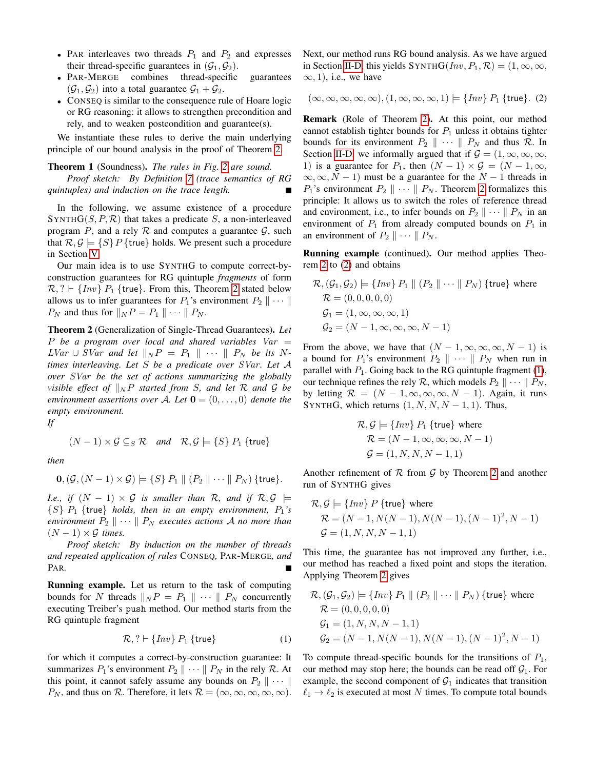- PAR interleaves two threads  $P_1$  and  $P_2$  and expresses their thread-specific guarantees in  $(\mathcal{G}_1, \mathcal{G}_2)$ .
- PAR-MERGE combines thread-specific guarantees  $(\mathcal{G}_1, \mathcal{G}_2)$  into a total guarantee  $\mathcal{G}_1 + \mathcal{G}_2$ .
- CONSEQ is similar to the consequence rule of Hoare logic or RG reasoning: it allows to strengthen precondition and rely, and to weaken postcondition and guarantee(s).

We instantiate these rules to derive the main underlying principle of our bound analysis in the proof of Theorem [2.](#page-5-0)

# Theorem 1 (Soundness). *The rules in Fig. [2](#page-4-1) are sound.*

*Proof sketch: By Definition [7](#page-4-2) (trace semantics of RG quintuples) and induction on the trace length.*

In the following, we assume existence of a procedure SYNTH $G(S, P, R)$  that takes a predicate S, a non-interleaved program P, and a rely R and computes a guarantee  $\mathcal{G}$ , such that  $\mathcal{R}, \mathcal{G} \models \{S\} P$  {true} holds. We present such a procedure in Section [V.](#page-6-0)

Our main idea is to use SYNTHG to compute correct-byconstruction guarantees for RG quintuple *fragments* of form  $\mathcal{R}, ? \vdash \{Inv\} \; P_1 \; \{true\}.$  From this, Theorem [2](#page-5-0) stated below allows us to infer guarantees for  $P_1$ 's environment  $P_2 \parallel \cdots \parallel$  $P_N$  and thus for  $||_NP = P_1 || \cdots || P_N$ .

<span id="page-5-0"></span>Theorem 2 (Generalization of Single-Thread Guarantees). *Let* P *be a program over local and shared variables* Var =  $LVar \cup SVar$  and let  $||_NP = P_1 || \cdots || P_N$  be its N*times interleaving. Let* S *be a predicate over* SVar *. Let* A *over* SVar *be the set of actions summarizing the globally visible effect of*  $\parallel_N P$  *started from S, and let*  $R$  *and*  $G$  *be environment assertions over* A. Let  $\mathbf{0} = (0, \ldots, 0)$  *denote the empty environment.*

*If*

$$
(N-1) \times G \subseteq_S \mathcal{R}
$$
 and  $\mathcal{R}, G \models \{S\} P_1 \{\text{true}\}\$ 

*then*

$$
\mathbf{0}, (\mathcal{G}, (N-1) \times \mathcal{G}) \models \{S\} P_1 \parallel (P_2 \parallel \cdots \parallel P_N) \text{ {true}}.
$$

*I.e., if*  $(N - 1) \times G$  *is smaller than* R, and if  $R, G \models$  $\{S\}$   $P_1$  {true} *holds, then in an empty environment,*  $P_1$ 's *environment*  $P_2 \parallel \cdots \parallel P_N$  *executes actions* A *no more than*  $(N-1) \times G$  *times.* 

*Proof sketch: By induction on the number of threads and repeated application of rules* CONSEQ*,* PAR-MERGE*, and* PAR*.*

Running example. Let us return to the task of computing bounds for N threads  $||_NP = P_1 || \cdots || P_N$  concurrently executing Treiber's push method. Our method starts from the RG quintuple fragment

<span id="page-5-2"></span>
$$
\mathcal{R},? \vdash \{Inv\} \, P_1 \, \{\text{true}\} \tag{1}
$$

for which it computes a correct-by-construction guarantee: It summarizes  $P_1$ 's environment  $P_2 \parallel \cdots \parallel P_N$  in the rely  $\mathcal R$ . At this point, it cannot safely assume any bounds on  $P_2 \parallel \cdots \parallel$  $P_N$ , and thus on  $\mathcal R$ . Therefore, it lets  $\mathcal R = (\infty, \infty, \infty, \infty, \infty)$ . Next, our method runs RG bound analysis. As we have argued in Section [II-D,](#page-2-5) this yields SYNTHG( $Inv, P_1, R$ ) = (1,  $\infty, \infty$ ,  $\infty$ , 1), i.e., we have

<span id="page-5-1"></span>
$$
(\infty, \infty, \infty, \infty, \infty), (1, \infty, \infty, \infty, 1) \models \{Inv\} P_1 \{true\}.
$$
 (2)

Remark (Role of Theorem [2\)](#page-5-0). At this point, our method cannot establish tighter bounds for  $P_1$  unless it obtains tighter bounds for its environment  $P_2 \parallel \cdots \parallel P_N$  and thus R. In Section [II-D,](#page-2-5) we informally argued that if  $G = (1, \infty, \infty, \infty)$ , 1) is a guarantee for  $P_1$ , then  $(N - 1) \times G = (N - 1, \infty,$  $\infty, \infty, N - 1$  must be a guarantee for the  $N - 1$  threads in  $P_1$ 's environment  $P_2 \parallel \cdots \parallel P_N$ . Theorem [2](#page-5-0) formalizes this principle: It allows us to switch the roles of reference thread and environment, i.e., to infer bounds on  $P_2 \parallel \cdots \parallel P_N$  in an environment of  $P_1$  from already computed bounds on  $P_1$  in an environment of  $P_2 \parallel \cdots \parallel P_N$ .

Running example (continued). Our method applies Theorem [2](#page-5-0) to [\(2\)](#page-5-1) and obtains

$$
\mathcal{R}, (\mathcal{G}_1, \mathcal{G}_2) \models \{Inv\} \ P_1 \parallel (P_2 \parallel \cdots \parallel P_N) \ \{\text{true}\} \ \text{where}
$$

$$
\mathcal{R} = (0, 0, 0, 0, 0)
$$

$$
\mathcal{G}_1 = (1, \infty, \infty, \infty, 1)
$$

$$
\mathcal{G}_2 = (N - 1, \infty, \infty, \infty, N - 1)
$$

From the above, we have that  $(N - 1, \infty, \infty, \infty, N - 1)$  is a bound for  $P_1$ 's environment  $P_2 \parallel \cdots \parallel P_N$  when run in parallel with  $P_1$ . Going back to the RG quintuple fragment [\(1\)](#page-5-2), our technique refines the rely R, which models  $P_2 \parallel \cdots \parallel P_N$ , by letting  $\mathcal{R} = (N - 1, \infty, \infty, \infty, N - 1)$ . Again, it runs SYNTHG, which returns  $(1, N, N, N - 1, 1)$ . Thus,

$$
\mathcal{R}, \mathcal{G} \models \{Inv\} \ P_1 \ \{\text{true}\} \ \text{where}
$$

$$
\mathcal{R} = (N - 1, \infty, \infty, \infty, N - 1)
$$

$$
\mathcal{G} = (1, N, N, N - 1, 1)
$$

Another refinement of  $R$  from  $G$  by Theorem [2](#page-5-0) and another run of SYNTHG gives

$$
\mathcal{R}, \mathcal{G} \models \{Inv\} \ P \ \{\text{true}\} \ \text{where}
$$
\n
$$
\mathcal{R} = (N - 1, N(N - 1), N(N - 1), (N - 1)^2, N - 1)
$$
\n
$$
\mathcal{G} = (1, N, N, N - 1, 1)
$$

This time, the guarantee has not improved any further, i.e., our method has reached a fixed point and stops the iteration. Applying Theorem [2](#page-5-0) gives

$$
\mathcal{R}, (\mathcal{G}_1, \mathcal{G}_2) \models \{Inv\} \ P_1 \parallel (P_2 \parallel \cdots \parallel P_N) \ \{\text{true}\} \ \text{where}
$$
  

$$
\mathcal{R} = (0, 0, 0, 0, 0)
$$
  

$$
\mathcal{G}_1 = (1, N, N, N - 1, 1)
$$
  

$$
\mathcal{G}_2 = (N - 1, N(N - 1), N(N - 1), (N - 1)^2, N - 1)
$$

To compute thread-specific bounds for the transitions of  $P_1$ , our method may stop here; the bounds can be read off  $G_1$ . For example, the second component of  $G_1$  indicates that transition  $\ell_1 \rightarrow \ell_2$  is executed at most N times. To compute total bounds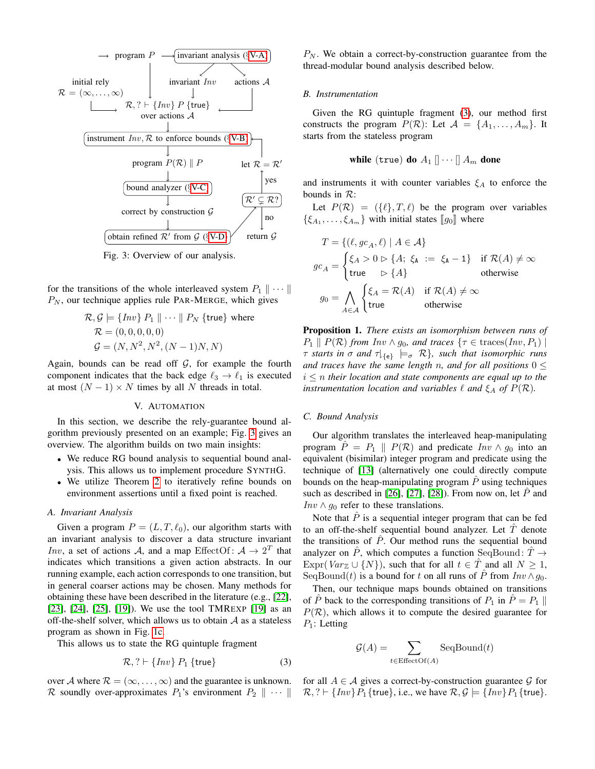<span id="page-6-4"></span>

Fig. 3: Overview of our analysis.

for the transitions of the whole interleaved system  $P_1 \parallel \cdots \parallel$  $P_N$ , our technique applies rule PAR-MERGE, which gives

$$
\mathcal{R}, \mathcal{G} \models \{Inv\} \ P_1 \ \| \cdots \ \| \ P_N \ \{\text{true}\} \ \text{where}
$$

$$
\mathcal{R} = (0, 0, 0, 0, 0)
$$

$$
\mathcal{G} = (N, N^2, N^2, (N - 1)N, N)
$$

Again, bounds can be read off  $G$ , for example the fourth component indicates that the back edge  $\ell_3 \rightarrow \ell_1$  is executed at most  $(N - 1) \times N$  times by all N threads in total.

## V. AUTOMATION

<span id="page-6-0"></span>In this section, we describe the rely-guarantee bound algorithm previously presented on an example; Fig. [3](#page-6-4) gives an overview. The algorithm builds on two main insights:

- We reduce RG bound analysis to sequential bound analysis. This allows us to implement procedure SYNTHG.
- We utilize Theorem [2](#page-5-0) to iteratively refine bounds on environment assertions until a fixed point is reached.

# <span id="page-6-1"></span>*A. Invariant Analysis*

Given a program  $P = (L, T, \ell_0)$ , our algorithm starts with an invariant analysis to discover a data structure invariant *Inv*, a set of actions A, and a map EffectOf:  $A \rightarrow 2^T$  that indicates which transitions a given action abstracts. In our running example, each action corresponds to one transition, but in general coarser actions may be chosen. Many methods for obtaining these have been described in the literature (e.g., [\[22\]](#page-8-21), [\[23\]](#page-8-22), [\[24\]](#page-8-23), [\[25\]](#page-8-24), [\[19\]](#page-8-18)). We use the tool TMREXP [\[19\]](#page-8-18) as an off-the-shelf solver, which allows us to obtain  $A$  as a stateless program as shown in Fig. [1c.](#page-2-3)

This allows us to state the RG quintuple fragment

<span id="page-6-5"></span>
$$
\mathcal{R},? \vdash \{Inv\} \, P_1 \, \{\text{true}\} \tag{3}
$$

over A where  $\mathcal{R} = (\infty, \dots, \infty)$  and the guarantee is unknown.

 $P_N$ . We obtain a correct-by-construction guarantee from the thread-modular bound analysis described below.

#### <span id="page-6-2"></span>*B. Instrumentation*

Given the RG quintuple fragment [\(3\)](#page-6-5), our method first constructs the program  $P(\mathcal{R})$ : Let  $\mathcal{A} = \{A_1, \ldots, A_m\}$ . It starts from the stateless program

while (true) do 
$$
A_1 \parallel \cdots \parallel A_m
$$
 done

and instruments it with counter variables  $\xi_A$  to enforce the bounds in R:

Let  $P(\mathcal{R}) = (\{\ell\}, T, \ell)$  be the program over variables  $\{\xi_{A_1}, \ldots, \xi_{A_m}\}\$  with initial states  $[\![g_0]\!]$  where

$$
T = \{ (\ell, gc_A, \ell) \mid A \in \mathcal{A} \}
$$
  
\n
$$
gc_A = \begin{cases} \xi_A > 0 \rhd \{A; \xi_A := \xi_A - 1\} & \text{if } \mathcal{R}(A) \neq \infty \\ \text{true} & \rhd \{A\} & \text{otherwise} \end{cases}
$$
  
\n
$$
g_0 = \bigwedge_{A \in \mathcal{A}} \begin{cases} \xi_A = \mathcal{R}(A) & \text{if } \mathcal{R}(A) \neq \infty \\ \text{true} & \text{otherwise} \end{cases}
$$

Proposition 1. *There exists an isomorphism between runs of*  $P_1 \parallel P(\mathcal{R})$  *from Inv*  $\wedge$  *g*<sub>0</sub>*, and traces* { $\tau \in \text{traces}(Inv, P_1)$  |  $\tau$  *starts in*  $\sigma$  *and*  $\tau|_{\{e\}} \models_{\sigma} \mathcal{R}$ *, such that isomorphic runs and traces have the same length n, and for all positions*  $0 \leq$  $i \leq n$  *their location and state components are equal up to the instrumentation location and variables*  $\ell$  *and*  $\xi_A$  *of*  $P(\mathcal{R})$ *.* 

#### <span id="page-6-3"></span>*C. Bound Analysis*

Our algorithm translates the interleaved heap-manipulating program  $\hat{P} = P_1 \parallel P(\mathcal{R})$  and predicate  $Inv \wedge g_0$  into an equivalent (bisimilar) integer program and predicate using the technique of [\[13\]](#page-8-12) (alternatively one could directly compute bounds on the heap-manipulating program  $\hat{P}$  using techniques such as described in [\[26\]](#page-8-25), [\[27\]](#page-8-26), [\[28\]](#page-8-27)). From now on, let  $\hat{P}$  and Inv  $\land$  g<sub>0</sub> refer to these translations.

Note that  $\hat{P}$  is a sequential integer program that can be fed to an off-the-shelf sequential bound analyzer. Let  $\hat{T}$  denote the transitions of  $\hat{P}$ . Our method runs the sequential bound analyzer on  $\hat{P}$ , which computes a function SeqBound:  $\hat{T} \rightarrow$ Expr(Var<sub>Z</sub> ∪ {N}), such that for all  $t \in \hat{T}$  and all  $N \geq 1$ , SeqBound(t) is a bound for t on all runs of  $\hat{P}$  from  $Inv \wedge q_0$ .

Then, our technique maps bounds obtained on transitions of P back to the corresponding transitions of  $P_1$  in  $P = P_1 \parallel$  $P(\mathcal{R})$ , which allows it to compute the desired guarantee for  $P_1$ : Letting

$$
G(A) = \sum_{t \in \text{EffectOf}(A)} \text{SeqBound}(t)
$$

R soundly over-approximates  $P_1$ 's environment  $P_2 \parallel \cdots \parallel R$ , ?  $\vdash \{Inv\} P_1$ {true}, i.e., we have  $R, \mathcal{G} \models \{Inv\} P_1$ {true}. for all  $A \in \mathcal{A}$  gives a correct-by-construction guarantee  $\mathcal{G}$  for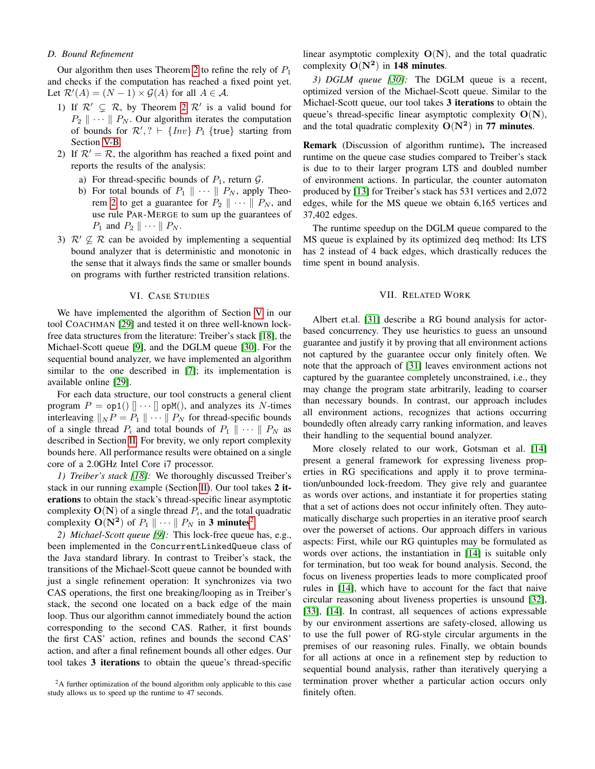# <span id="page-7-2"></span>*D. Bound Refinement*

Our algorithm then uses Theorem [2](#page-5-0) to refine the rely of  $P_1$ and checks if the computation has reached a fixed point yet. Let  $\mathcal{R}'(A) = (N - 1) \times \mathcal{G}(A)$  for all  $A \in \mathcal{A}$ .

- 1) If  $\mathcal{R}' \subsetneq \mathcal{R}$ , by Theorem [2](#page-5-0)  $\mathcal{R}'$  is a valid bound for  $P_2 \parallel \cdots \parallel P_N$ . Our algorithm iterates the computation of bounds for  $\mathcal{R}', ? \vdash \{Inv\} P_1 \{ true \}$  starting from Section [V-B.](#page-6-2)
- 2) If  $\mathcal{R}' = \mathcal{R}$ , the algorithm has reached a fixed point and reports the results of the analysis:
	- a) For thread-specific bounds of  $P_1$ , return  $\mathcal{G}$ .
	- b) For total bounds of  $P_1 \parallel \cdots \parallel P_N$ , apply Theo-rem [2](#page-5-0) to get a guarantee for  $P_2 \parallel \cdots \parallel P_N$ , and use rule PAR-MERGE to sum up the guarantees of  $P_1$  and  $P_2 \parallel \cdots \parallel P_N$ .
- 3)  $\mathcal{R}' \nsubseteq \mathcal{R}$  can be avoided by implementing a sequential bound analyzer that is deterministic and monotonic in the sense that it always finds the same or smaller bounds on programs with further restricted transition relations.

### VI. CASE STUDIES

<span id="page-7-1"></span>We have implemented the algorithm of Section [V](#page-6-0) in our tool COACHMAN [\[29\]](#page-8-28) and tested it on three well-known lockfree data structures from the literature: Treiber's stack [\[18\]](#page-8-17), the Michael-Scott queue [\[9\]](#page-8-8), and the DGLM queue [\[30\]](#page-8-29). For the sequential bound analyzer, we have implemented an algorithm similar to the one described in [\[7\]](#page-8-6); its implementation is available online [\[29\]](#page-8-28).

For each data structure, our tool constructs a general client program  $P = op1()$   $\|\cdots\|$  opM(), and analyzes its N-times interleaving  $||_N P = P_1 || \cdots || P_N$  for thread-specific bounds of a single thread  $P_i$  and total bounds of  $P_1 \parallel \cdots \parallel P_N$  as described in Section [II.](#page-1-2) For brevity, we only report complexity bounds here. All performance results were obtained on a single core of a 2.0GHz Intel Core i7 processor.

*1) Treiber's stack [\[18\]](#page-8-17):* We thoroughly discussed Treiber's stack in our running example (Section [II\)](#page-1-2). Our tool takes 2 iterations to obtain the stack's thread-specific linear asymptotic complexity  $O(N)$  of a single thread  $P_i$ , and the total quadratic complexity  $O(N^2)$  $O(N^2)$  $O(N^2)$  of  $P_1 \parallel \cdots \parallel P_N$  in 3 minutes<sup>2</sup>.

*2) Michael-Scott queue [\[9\]](#page-8-8):* This lock-free queue has, e.g., been implemented in the ConcurrentLinkedQueue class of the Java standard library. In contrast to Treiber's stack, the transitions of the Michael-Scott queue cannot be bounded with just a single refinement operation: It synchronizes via two CAS operations, the first one breaking/looping as in Treiber's stack, the second one located on a back edge of the main loop. Thus our algorithm cannot immediately bound the action corresponding to the second CAS. Rather, it first bounds the first CAS' action, refines and bounds the second CAS' action, and after a final refinement bounds all other edges. Our tool takes 3 iterations to obtain the queue's thread-specific linear asymptotic complexity  $O(N)$ , and the total quadratic complexity  $O(N^2)$  in 148 minutes.

*3) DGLM queue [\[30\]](#page-8-29):* The DGLM queue is a recent, optimized version of the Michael-Scott queue. Similar to the Michael-Scott queue, our tool takes 3 iterations to obtain the queue's thread-specific linear asymptotic complexity  $O(N)$ , and the total quadratic complexity  $O(N^2)$  in 77 minutes.

Remark (Discussion of algorithm runtime). The increased runtime on the queue case studies compared to Treiber's stack is due to to their larger program LTS and doubled number of environment actions. In particular, the counter automaton produced by [\[13\]](#page-8-12) for Treiber's stack has 531 vertices and 2,072 edges, while for the MS queue we obtain 6,165 vertices and 37,402 edges.

The runtime speedup on the DGLM queue compared to the MS queue is explained by its optimized deq method: Its LTS has 2 instead of 4 back edges, which drastically reduces the time spent in bound analysis.

## VII. RELATED WORK

<span id="page-7-0"></span>Albert et.al. [\[31\]](#page-8-30) describe a RG bound analysis for actorbased concurrency. They use heuristics to guess an unsound guarantee and justify it by proving that all environment actions not captured by the guarantee occur only finitely often. We note that the approach of [\[31\]](#page-8-30) leaves environment actions not captured by the guarantee completely unconstrained, i.e., they may change the program state arbitrarily, leading to coarser than necessary bounds. In contrast, our approach includes all environment actions, recognizes that actions occurring boundedly often already carry ranking information, and leaves their handling to the sequential bound analyzer.

More closely related to our work, Gotsman et al. [\[14\]](#page-8-13) present a general framework for expressing liveness properties in RG specifications and apply it to prove termination/unbounded lock-freedom. They give rely and guarantee as words over actions, and instantiate it for properties stating that a set of actions does not occur infinitely often. They automatically discharge such properties in an iterative proof search over the powerset of actions. Our approach differs in various aspects: First, while our RG quintuples may be formulated as words over actions, the instantiation in [\[14\]](#page-8-13) is suitable only for termination, but too weak for bound analysis. Second, the focus on liveness properties leads to more complicated proof rules in [\[14\]](#page-8-13), which have to account for the fact that naive circular reasoning about liveness properties is unsound [\[32\]](#page-8-31), [\[33\]](#page-8-32), [\[14\]](#page-8-13). In contrast, all sequences of actions expressable by our environment assertions are safety-closed, allowing us to use the full power of RG-style circular arguments in the premises of our reasoning rules. Finally, we obtain bounds for all actions at once in a refinement step by reduction to sequential bound analysis, rather than iteratively querying a termination prover whether a particular action occurs only finitely often.

<span id="page-7-3"></span> $2A$  further optimization of the bound algorithm only applicable to this case study allows us to speed up the runtime to 47 seconds.